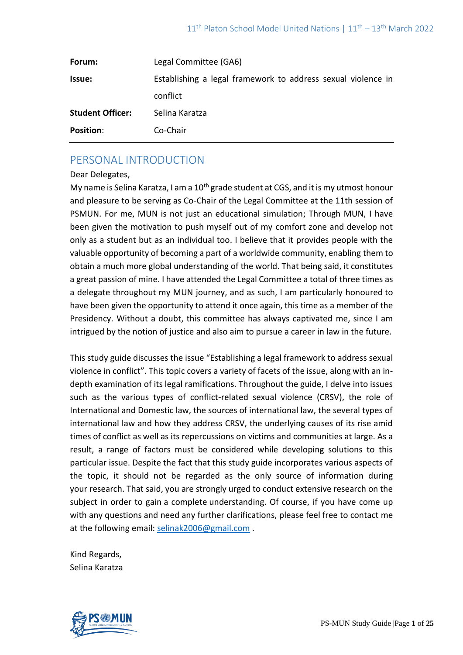| Forum:                  | Legal Committee (GA6)                                        |
|-------------------------|--------------------------------------------------------------|
| <b>Issue:</b>           | Establishing a legal framework to address sexual violence in |
|                         | conflict                                                     |
| <b>Student Officer:</b> | Selina Karatza                                               |
| <b>Position:</b>        | Co-Chair                                                     |

# PERSONAL INTRODUCTION

## Dear Delegates,

My name is Selina Karatza, I am a  $10<sup>th</sup>$  grade student at CGS, and it is my utmost honour and pleasure to be serving as Co-Chair of the Legal Committee at the 11th session of PSMUN. For me, MUN is not just an educational simulation; Through MUN, I have been given the motivation to push myself out of my comfort zone and develop not only as a student but as an individual too. I believe that it provides people with the valuable opportunity of becoming a part of a worldwide community, enabling them to obtain a much more global understanding of the world. That being said, it constitutes a great passion of mine. I have attended the Legal Committee a total of three times as a delegate throughout my MUN journey, and as such, I am particularly honoured to have been given the opportunity to attend it once again, this time as a member of the Presidency. Without a doubt, this committee has always captivated me, since I am intrigued by the notion of justice and also aim to pursue a career in law in the future.

This study guide discusses the issue "Establishing a legal framework to address sexual violence in conflict". This topic covers a variety of facets of the issue, along with an indepth examination of its legal ramifications. Throughout the guide, I delve into issues such as the various types of conflict-related sexual violence (CRSV), the role of International and Domestic law, the sources of international law, the several types of international law and how they address CRSV, the underlying causes of its rise amid times of conflict as well as its repercussions on victims and communities at large. As a result, a range of factors must be considered while developing solutions to this particular issue. Despite the fact that this study guide incorporates various aspects of the topic, it should not be regarded as the only source of information during your research. That said, you are strongly urged to conduct extensive research on the subject in order to gain a complete understanding. Of course, if you have come up with any questions and need any further clarifications, please feel free to contact me at the following email: [selinak2006@gmail.com](mailto:selinak2006@gmail.com) .

Kind Regards, Selina Karatza

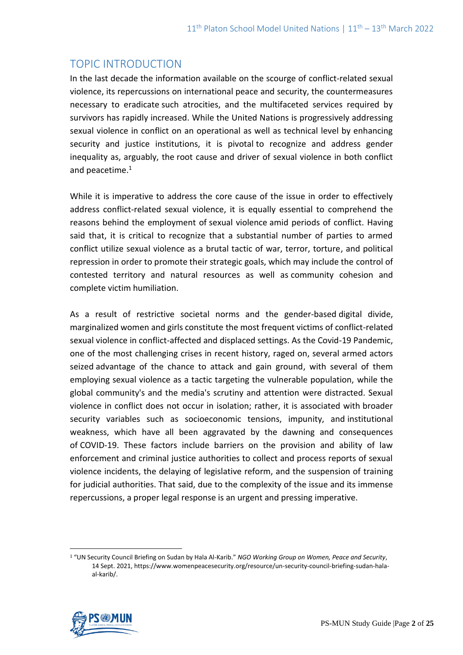# TOPIC INTRODUCTION

In the last decade the information available on the scourge of conflict-related sexual violence, its repercussions on international peace and security, the countermeasures necessary to eradicate such atrocities, and the multifaceted services required by survivors has rapidly increased. While the United Nations is progressively addressing sexual violence in conflict on an operational as well as technical level by enhancing security and justice institutions, it is pivotal to recognize and address gender inequality as, arguably, the root cause and driver of sexual violence in both conflict and peacetime.<sup>1</sup>

While it is imperative to address the core cause of the issue in order to effectively address conflict-related sexual violence, it is equally essential to comprehend the reasons behind the employment of sexual violence amid periods of conflict. Having said that, it is critical to recognize that a substantial number of parties to armed conflict utilize sexual violence as a brutal tactic of war, terror, torture, and political repression in order to promote their strategic goals, which may include the control of contested territory and natural resources as well as community cohesion and complete victim humiliation.

As a result of restrictive societal norms and the gender-based digital divide, marginalized women and girls constitute the most frequent victims of conflict-related sexual violence in conflict-affected and displaced settings. As the Covid-19 Pandemic, one of the most challenging crises in recent history, raged on, several armed actors seized advantage of the chance to attack and gain ground, with several of them employing sexual violence as a tactic targeting the vulnerable population, while the global community's and the media's scrutiny and attention were distracted. Sexual violence in conflict does not occur in isolation; rather, it is associated with broader security variables such as socioeconomic tensions, impunity, and institutional weakness, which have all been aggravated by the dawning and consequences of COVID-19. These factors include barriers on the provision and ability of law enforcement and criminal justice authorities to collect and process reports of sexual violence incidents, the delaying of legislative reform, and the suspension of training for judicial authorities. That said, due to the complexity of the issue and its immense repercussions, a proper legal response is an urgent and pressing imperative.

<sup>1</sup> "UN Security Council Briefing on Sudan by Hala Al-Karib." *NGO Working Group on Women, Peace and Security*, 14 Sept. 2021, https://www.womenpeacesecurity.org/resource/un-security-council-briefing-sudan-halaal-karib/.

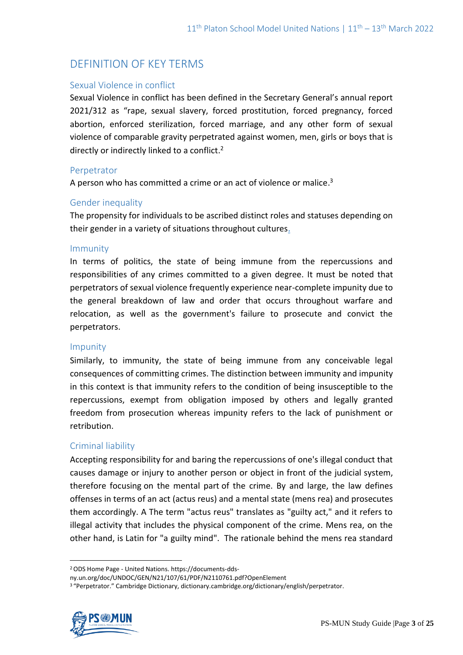# DEFINITION OF KEY TERMS

## Sexual Violence in conflict

Sexual Violence in conflict has been defined in the Secretary General's annual report 2021/312 as "rape, sexual slavery, forced prostitution, forced pregnancy, forced abortion, enforced sterilization, forced marriage, and any other form of sexual violence of comparable gravity perpetrated against women, men, girls or boys that is directly or indirectly linked to a conflict.<sup>2</sup>

## Perpetrator

A person who has committed a crime or an act of violence or malice.<sup>3</sup>

# Gender inequality

The propensity for individuals to be ascribed distinct roles and statuses depending on their gender in a variety of situations throughout cultures.

## Immunity

In terms of politics, the state of being immune from the repercussions and responsibilities of any crimes committed to a given degree. It must be noted that perpetrators of sexual violence frequently experience near-complete impunity due to the general breakdown of law and order that occurs throughout warfare and relocation, as well as the government's failure to prosecute and convict the perpetrators.

## Impunity

Similarly, to immunity, the state of being immune from any conceivable legal consequences of committing crimes. The distinction between immunity and impunity in this context is that immunity refers to the condition of being insusceptible to the repercussions, exempt from obligation imposed by others and legally granted freedom from prosecution whereas impunity refers to the lack of punishment or retribution.

## Criminal liability

Accepting responsibility for and baring the repercussions of one's illegal conduct that causes damage or injury to another person or object in front of the judicial system, therefore focusing on the mental part of the crime. By and large, the law defines offenses in terms of an act (actus reus) and a mental state (mens rea) and prosecutes them accordingly. A The term "actus reus" translates as "guilty act," and it refers to illegal activity that includes the physical component of the crime. Mens rea, on the other hand, is Latin for "a guilty mind". The rationale behind the mens rea standard

<sup>3</sup> "Perpetrator." Cambridge Dictionary, dictionary.cambridge.org/dictionary/english/perpetrator.



<sup>2</sup>ODS Home Page - United Nations. [https://documents-dds-](https://documents-dds-ny.un.org/doc/UNDOC/GEN/N21/107/61/PDF/N2110761.pdf?OpenElement)

[ny.un.org/doc/UNDOC/GEN/N21/107/61/PDF/N2110761.pdf?OpenElement](https://documents-dds-ny.un.org/doc/UNDOC/GEN/N21/107/61/PDF/N2110761.pdf?OpenElement)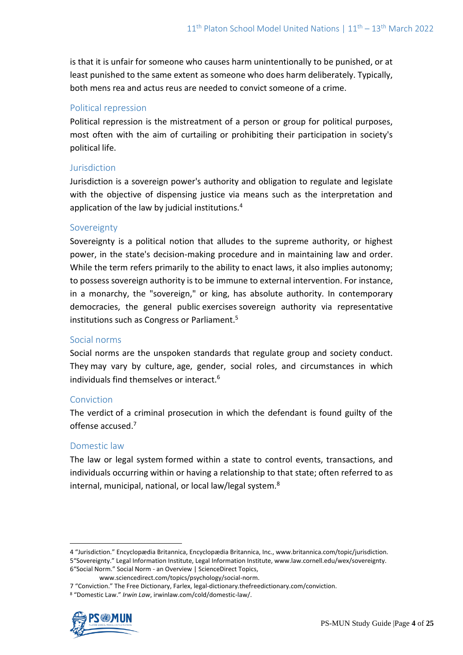is that it is unfair for someone who causes harm unintentionally to be punished, or at least punished to the same extent as someone who does harm deliberately. Typically, both mens rea and actus reus are needed to convict someone of a crime.

## Political repression

Political repression is the mistreatment of a person or group for political purposes, most often with the aim of curtailing or prohibiting their participation in society's political life.

## Jurisdiction

Jurisdiction is a sovereign power's authority and obligation to regulate and legislate with the objective of dispensing justice via means such as the interpretation and application of the law by judicial institutions.<sup>4</sup>

# Sovereignty

Sovereignty is a political notion that alludes to the supreme authority, or highest power, in the state's decision-making procedure and in maintaining law and order. While the term refers primarily to the ability to enact laws, it also implies autonomy; to possess sovereign authority is to be immune to external intervention. For instance, in a monarchy, the "sovereign," or king, has absolute authority. In contemporary democracies, the general public exercises sovereign authority via representative institutions such as Congress or Parliament.<sup>5</sup>

## Social norms

Social norms are the unspoken standards that regulate group and society conduct. They may vary by culture, age, gender, social roles, and circumstances in which individuals find themselves or interact.<sup>6</sup>

## Conviction

The verdict of a criminal prosecution in which the defendant is found guilty of the offense accused.<sup>7</sup>

## Domestic law

The law or legal system formed within a state to control events, transactions, and individuals occurring within or having a relationship to that state; often referred to as internal, municipal, national, or local law/legal system.<sup>8</sup>

<sup>8</sup> "Domestic Law." *Irwin Law*, irwinlaw.com/cold/domestic-law/.



<sup>4</sup> "Jurisdiction." Encyclopædia Britannica, Encyclopædia Britannica, Inc., www.britannica.com/topic/jurisdiction. 5"Sovereignty." Legal Information Institute, Legal Information Institute, www.law.cornell.edu/wex/sovereignty. 6"Social Norm." Social Norm - an Overview | ScienceDirect Topics,

www.sciencedirect.com/topics/psychology/social-norm.

<sup>7</sup> "Conviction." The Free Dictionary, Farlex, legal-dictionary.thefreedictionary.com/conviction.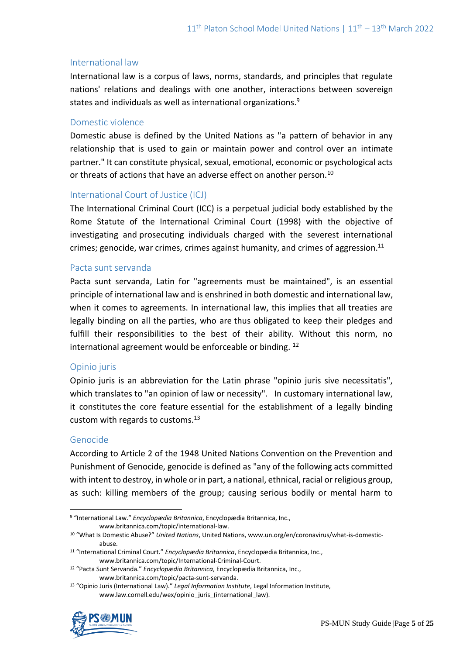## International law

International law is a corpus of laws, norms, standards, and principles that regulate nations' relations and dealings with one another, interactions between sovereign states and individuals as well as international organizations.<sup>9</sup>

## Domestic violence

Domestic abuse is defined by the United Nations as "a pattern of behavior in any relationship that is used to gain or maintain power and control over an intimate partner." It can constitute physical, sexual, emotional, economic or psychological acts or threats of actions that have an adverse effect on another person.<sup>10</sup>

## International Court of Justice (ICJ)

The International Criminal Court (ICC) is a perpetual judicial body established by the Rome Statute of the International Criminal Court (1998) with the objective of investigating and prosecuting individuals charged with the severest international crimes; genocide, war crimes, crimes against humanity, and crimes of aggression.<sup>11</sup>

## Pacta sunt servanda

Pacta sunt servanda, Latin for "agreements must be maintained", is an essential principle of international law and is enshrined in both domestic and international law, when it comes to agreements. In international law, this implies that all treaties are legally binding on all the parties, who are thus obligated to keep their pledges and fulfill their responsibilities to the best of their ability. Without this norm, no international agreement would be enforceable or binding. <sup>12</sup>

## Opinio juris

Opinio juris is an abbreviation for the Latin phrase "opinio juris sive necessitatis", which translates to "an opinion of law or necessity". In customary international law, it constitutes the core feature essential for the establishment of a legally binding custom with regards to customs. $13$ 

## Genocide

According to Article 2 of the 1948 United Nations Convention on the Prevention and Punishment of Genocide, genocide is defined as "any of the following acts committed with intent to destroy, in whole or in part, a national, ethnical, racial or religious group, as such: killing members of the group; causing serious bodily or mental harm to

<sup>13</sup> "Opinio Juris (International Law)." *Legal Information Institute*, Legal Information Institute, www.law.cornell.edu/wex/opinio\_juris\_(international\_law).



<sup>9</sup> "International Law." *Encyclopædia Britannica*, Encyclopædia Britannica, Inc., www.britannica.com/topic/international-law.

<sup>10</sup> "What Is Domestic Abuse?" *United Nations*, United Nations, www.un.org/en/coronavirus/what-is-domesticabuse.

<sup>11</sup> "International Criminal Court." *Encyclopædia Britannica*, Encyclopædia Britannica, Inc., www.britannica.com/topic/International-Criminal-Court.

<sup>12</sup> "Pacta Sunt Servanda." *Encyclopædia Britannica*, Encyclopædia Britannica, Inc.,

www.britannica.com/topic/pacta-sunt-servanda.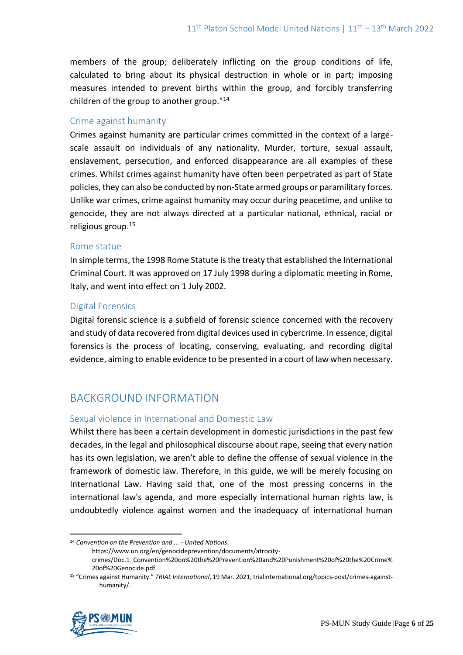members of the group; deliberately inflicting on the group conditions of life, calculated to bring about its physical destruction in whole or in part; imposing measures intended to prevent births within the group, and forcibly transferring children of the group to another group."<sup>14</sup>

## Crime against humanity

Crimes against humanity are particular crimes committed in the context of a largescale assault on individuals of any nationality. Murder, torture, sexual assault, enslavement, persecution, and enforced disappearance are all examples of these crimes. Whilst crimes against humanity have often been perpetrated as part of State policies, they can also be conducted by non-State armed groups or paramilitary forces. Unlike war crimes, crime against humanity may occur during peacetime, and unlike to genocide, they are not always directed at a particular national, ethnical, racial or religious group.<sup>15</sup>

## Rome statue

In simple terms, the 1998 Rome Statute is the treaty that established the International Criminal Court. It was approved on 17 July 1998 during a diplomatic meeting in Rome, Italy, and went into effect on 1 July 2002.

## Digital Forensics

Digital forensic science is a subfield of forensic science concerned with the recovery and study of data recovered from digital devices used in cybercrime. In essence, digital forensics is the process of locating, conserving, evaluating, and recording digital evidence, aiming to enable evidence to be presented in a court of law when necessary.

# BACKGROUND INFORMATION

## Sexual violence in International and Domestic Law

Whilst there has been a certain development in domestic jurisdictions in the past few decades, in the legal and philosophical discourse about rape, seeing that every nation has its own legislation, we aren't able to define the offense of sexual violence in the framework of domestic law. Therefore, in this guide, we will be merely focusing on International Law. Having said that, one of the most pressing concerns in the international law's agenda, and more especially international human rights law, is undoubtedly violence against women and the inadequacy of international human

<sup>15</sup> "Crimes against Humanity." *TRIAL International*, 19 Mar. 2021, trialinternational.org/topics-post/crimes-againsthumanity/.



<sup>14</sup> *Convention on the Prevention and ... - United Nations*.

https://www.un.org/en/genocideprevention/documents/atrocity-

crimes/Doc.1\_Convention%20on%20the%20Prevention%20and%20Punishment%20of%20the%20Crime% 20of%20Genocide.pdf.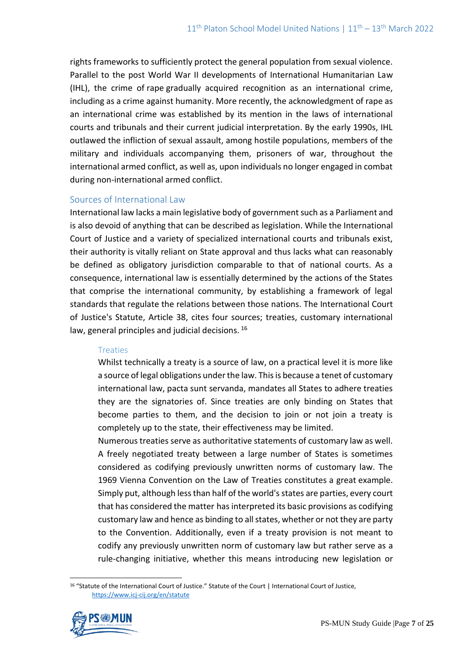rights frameworks to sufficiently protect the general population from sexual violence. Parallel to the post World War II developments of International Humanitarian Law (IHL), the crime of rape gradually acquired recognition as an international crime, including as a crime against humanity. More recently, the acknowledgment of rape as an international crime was established by its mention in the laws of international courts and tribunals and their current judicial interpretation. By the early 1990s, IHL outlawed the infliction of sexual assault, among hostile populations, members of the military and individuals accompanying them, prisoners of war, throughout the international armed conflict, as well as, upon individuals no longer engaged in combat during non-international armed conflict.

## Sources of International Law

International law lacks a main legislative body of government such as a Parliament and is also devoid of anything that can be described as legislation. While the International Court of Justice and a variety of specialized international courts and tribunals exist, their authority is vitally reliant on State approval and thus lacks what can reasonably be defined as obligatory jurisdiction comparable to that of national courts. As a consequence, international law is essentially determined by the actions of the States that comprise the international community, by establishing a framework of legal standards that regulate the relations between those nations. The International Court of Justice's Statute, Article 38, cites four sources; treaties, customary international law, general principles and judicial decisions. <sup>16</sup>

## **Treaties**

Whilst technically a treaty is a source of law, on a practical level it is more like a source of legal obligations under the law. This is because a tenet of customary international law, pacta sunt servanda, mandates all States to adhere treaties they are the signatories of. Since treaties are only binding on States that become parties to them, and the decision to join or not join a treaty is completely up to the state, their effectiveness may be limited.

Numerous treaties serve as authoritative statements of customary law as well. A freely negotiated treaty between a large number of States is sometimes considered as codifying previously unwritten norms of customary law. The 1969 Vienna Convention on the Law of Treaties constitutes a great example. Simply put, although less than half of the world's states are parties, every court that has considered the matter has interpreted its basic provisions as codifying customary law and hence as binding to all states, whether or not they are party to the Convention. Additionally, even if a treaty provision is not meant to codify any previously unwritten norm of customary law but rather serve as a rule-changing initiative, whether this means introducing new legislation or

<sup>16</sup> "Statute of the International Court of Justice." Statute of the Court | International Court of Justice, <https://www.icj-cij.org/en/statute>

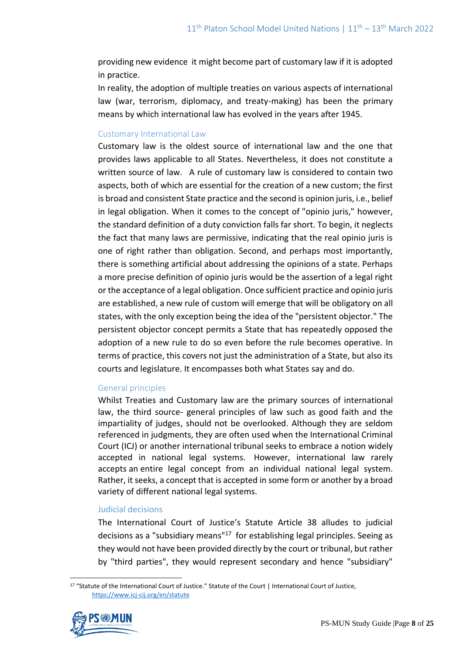providing new evidence it might become part of customary law if it is adopted in practice.

In reality, the adoption of multiple treaties on various aspects of international law (war, terrorism, diplomacy, and treaty-making) has been the primary means by which international law has evolved in the years after 1945.

## Customary International Law

Customary law is the oldest source of international law and the one that provides laws applicable to all States. Nevertheless, it does not constitute a written source of law. A rule of customary law is considered to contain two aspects, both of which are essential for the creation of a new custom; the first is broad and consistent State practice and the second is opinion juris, i.e., belief in legal obligation. When it comes to the concept of "opinio juris," however, the standard definition of a duty conviction falls far short. To begin, it neglects the fact that many laws are permissive, indicating that the real opinio juris is one of right rather than obligation. Second, and perhaps most importantly, there is something artificial about addressing the opinions of a state. Perhaps a more precise definition of opinio juris would be the assertion of a legal right or the acceptance of a legal obligation. Once sufficient practice and opinio juris are established, a new rule of custom will emerge that will be obligatory on all states, with the only exception being the idea of the "persistent objector." The persistent objector concept permits a State that has repeatedly opposed the adoption of a new rule to do so even before the rule becomes operative. In terms of practice, this covers not just the administration of a State, but also its courts and legislature. It encompasses both what States say and do.

## General principles

Whilst Treaties and Customary law are the primary sources of international law, the third source- general principles of law such as good faith and the impartiality of judges, should not be overlooked. Although they are seldom referenced in judgments, they are often used when the International Criminal Court (ICJ) or another international tribunal seeks to embrace a notion widely accepted in national legal systems. However, international law rarely accepts an entire legal concept from an individual national legal system. Rather, it seeks, a concept that is accepted in some form or another by a broad variety of different national legal systems.

## Judicial decisions

The International Court of Justice's Statute Article 38 alludes to judicial decisions as a "subsidiary means"<sup>17</sup> for establishing legal principles. Seeing as they would not have been provided directly by the court or tribunal, but rather by "third parties", they would represent secondary and hence "subsidiary"

<sup>17</sup> "Statute of the International Court of Justice." Statute of the Court | International Court of Justice, <https://www.icj-cij.org/en/statute>

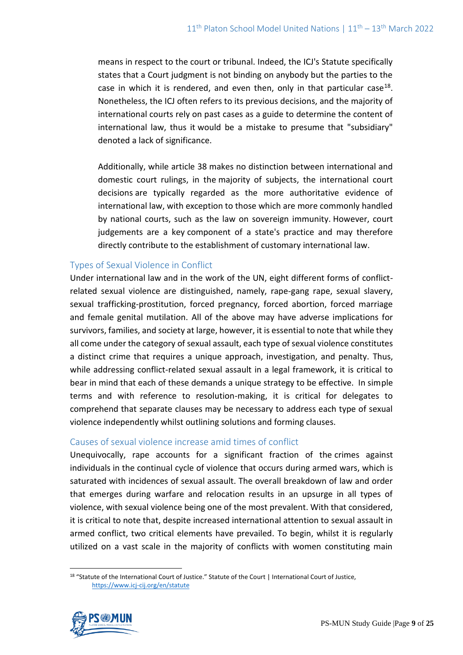means in respect to the court or tribunal. Indeed, the ICJ's Statute specifically states that a Court judgment is not binding on anybody but the parties to the case in which it is rendered, and even then, only in that particular case<sup>18</sup>. Nonetheless, the ICJ often refers to its previous decisions, and the majority of international courts rely on past cases as a guide to determine the content of international law, thus it would be a mistake to presume that "subsidiary" denoted a lack of significance.

Additionally, while article 38 makes no distinction between international and domestic court rulings, in the majority of subjects, the international court decisions are typically regarded as the more authoritative evidence of international law, with exception to those which are more commonly handled by national courts, such as the law on sovereign immunity. However, court judgements are a key component of a state's practice and may therefore directly contribute to the establishment of customary international law.

# Types of Sexual Violence in Conflict

Under international law and in the work of the UN, eight different forms of conflictrelated sexual violence are distinguished, namely, rape-gang rape, sexual slavery, sexual trafficking-prostitution, forced pregnancy, forced abortion, forced marriage and female genital mutilation. All of the above may have adverse implications for survivors, families, and society at large, however, it is essential to note that while they all come under the category of sexual assault, each type of sexual violence constitutes a distinct crime that requires a unique approach, investigation, and penalty. Thus, while addressing conflict-related sexual assault in a legal framework, it is critical to bear in mind that each of these demands a unique strategy to be effective. In simple terms and with reference to resolution-making, it is critical for delegates to comprehend that separate clauses may be necessary to address each type of sexual violence independently whilst outlining solutions and forming clauses.

## Causes of sexual violence increase amid times of conflict

Unequivocally, rape accounts for a significant fraction of the crimes against individuals in the continual cycle of violence that occurs during armed wars, which is saturated with incidences of sexual assault. The overall breakdown of law and order that emerges during warfare and relocation results in an upsurge in all types of violence, with sexual violence being one of the most prevalent. With that considered, it is critical to note that, despite increased international attention to sexual assault in armed conflict, two critical elements have prevailed. To begin, whilst it is regularly utilized on a vast scale in the majority of conflicts with women constituting main

<sup>18</sup> "Statute of the International Court of Justice." Statute of the Court | International Court of Justice, <https://www.icj-cij.org/en/statute>

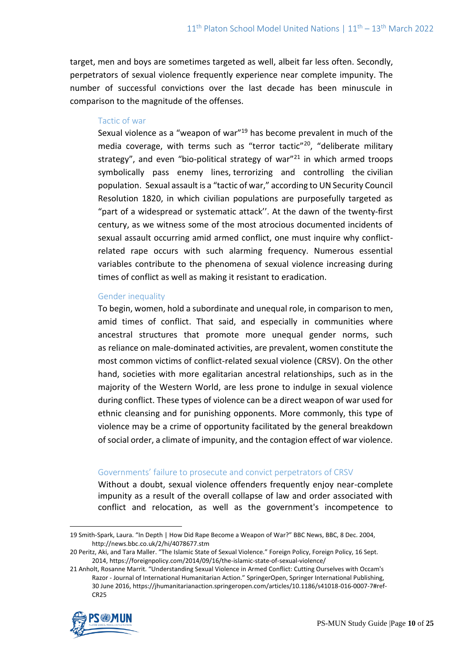target, men and boys are sometimes targeted as well, albeit far less often. Secondly, perpetrators of sexual violence frequently experience near complete impunity. The number of successful convictions over the last decade has been minuscule in comparison to the magnitude of the offenses.

## Tactic of war

Sexual violence as a "weapon of war"<sup>19</sup> has become prevalent in much of the media coverage, with terms such as "terror tactic"<sup>20</sup>, "deliberate military strategy", and even "bio-political strategy of war" $21$  in which armed troops symbolically pass enemy lines, terrorizing and controlling the civilian population. Sexual assault is a "tactic of war," according to UN Security Council Resolution 1820, in which civilian populations are purposefully targeted as "part of a widespread or systematic attack''. At the dawn of the twenty-first century, as we witness some of the most atrocious documented incidents of sexual assault occurring amid armed conflict, one must inquire why conflictrelated rape occurs with such alarming frequency. Numerous essential variables contribute to the phenomena of sexual violence increasing during times of conflict as well as making it resistant to eradication.

## Gender inequality

To begin, women, hold a subordinate and unequal role, in comparison to men, amid times of conflict. That said, and especially in communities where ancestral structures that promote more unequal gender norms, such as reliance on male-dominated activities, are prevalent, women constitute the most common victims of conflict-related sexual violence (CRSV). On the other hand, societies with more egalitarian ancestral relationships, such as in the majority of the Western World, are less prone to indulge in sexual violence during conflict. These types of violence can be a direct weapon of war used for ethnic cleansing and for punishing opponents. More commonly, this type of violence may be a crime of opportunity facilitated by the general breakdown of social order, a climate of impunity, and the contagion effect of war violence.

## Governments' failure to prosecute and convict perpetrators of CRSV

Without a doubt, sexual violence offenders frequently enjoy near-complete impunity as a result of the overall collapse of law and order associated with conflict and relocation, as well as the government's incompetence to

<sup>21</sup> Anholt, Rosanne Marrit. "Understanding Sexual Violence in Armed Conflict: Cutting Ourselves with Occam's Razor - Journal of International Humanitarian Action." SpringerOpen, Springer International Publishing, 30 June 2016, [https://jhumanitarianaction.springeropen.com/articles/10.1186/s41018-016-0007-7#ref-](https://jhumanitarianaction.springeropen.com/articles/10.1186/s41018-016-0007-7#ref-CR25)[CR25](https://jhumanitarianaction.springeropen.com/articles/10.1186/s41018-016-0007-7#ref-CR25)



<sup>19</sup> Smith-Spark, Laura. "In Depth | How Did Rape Become a Weapon of War?" BBC News, BBC, 8 Dec. 2004, <http://news.bbc.co.uk/2/hi/4078677.stm>

<sup>20</sup> Peritz, Aki, and Tara Maller. "The Islamic State of Sexual Violence." Foreign Policy, Foreign Policy, 16 Sept. 2014,<https://foreignpolicy.com/2014/09/16/the-islamic-state-of-sexual-violence/>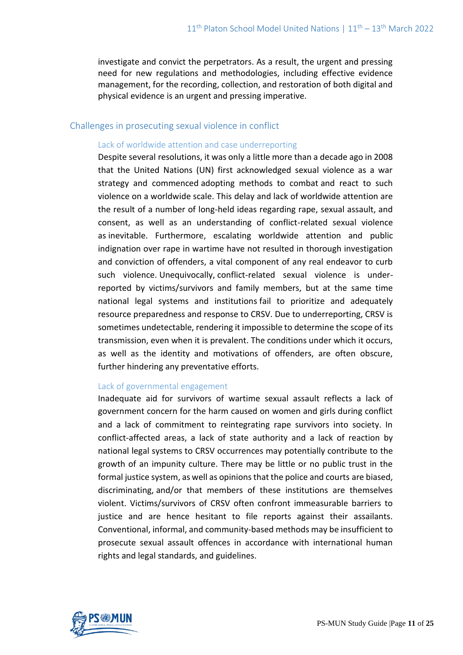investigate and convict the perpetrators. As a result, the urgent and pressing need for new regulations and methodologies, including effective evidence management, for the recording, collection, and restoration of both digital and physical evidence is an urgent and pressing imperative.

#### Challenges in prosecuting sexual violence in conflict

#### Lack of worldwide attention and case underreporting

Despite several resolutions, it was only a little more than a decade ago in 2008 that the United Nations (UN) first acknowledged sexual violence as a war strategy and commenced adopting methods to combat and react to such violence on a worldwide scale. This delay and lack of worldwide attention are the result of a number of long-held ideas regarding rape, sexual assault, and consent, as well as an understanding of conflict-related sexual violence as inevitable. Furthermore, escalating worldwide attention and public indignation over rape in wartime have not resulted in thorough investigation and conviction of offenders, a vital component of any real endeavor to curb such violence. Unequivocally, conflict-related sexual violence is underreported by victims/survivors and family members, but at the same time national legal systems and institutions fail to prioritize and adequately resource preparedness and response to CRSV. Due to underreporting, CRSV is sometimes undetectable, rendering it impossible to determine the scope of its transmission, even when it is prevalent. The conditions under which it occurs, as well as the identity and motivations of offenders, are often obscure, further hindering any preventative efforts.

#### Lack of governmental engagement

Inadequate aid for survivors of wartime sexual assault reflects a lack of government concern for the harm caused on women and girls during conflict and a lack of commitment to reintegrating rape survivors into society. In conflict-affected areas, a lack of state authority and a lack of reaction by national legal systems to CRSV occurrences may potentially contribute to the growth of an impunity culture. There may be little or no public trust in the formal justice system, as well as opinions that the police and courts are biased, discriminating, and/or that members of these institutions are themselves violent. Victims/survivors of CRSV often confront immeasurable barriers to justice and are hence hesitant to file reports against their assailants. Conventional, informal, and community-based methods may be insufficient to prosecute sexual assault offences in accordance with international human rights and legal standards, and guidelines.

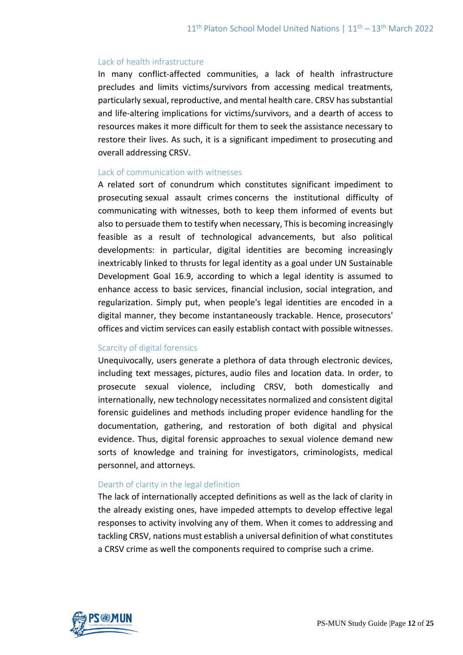#### Lack of health infrastructure

In many conflict-affected communities, a lack of health infrastructure precludes and limits victims/survivors from accessing medical treatments, particularly sexual, reproductive, and mental health care. CRSV has substantial and life-altering implications for victims/survivors, and a dearth of access to resources makes it more difficult for them to seek the assistance necessary to restore their lives. As such, it is a significant impediment to prosecuting and overall addressing CRSV.

#### Lack of communication with witnesses

A related sort of conundrum which constitutes significant impediment to prosecuting sexual assault crimes concerns the institutional difficulty of communicating with witnesses, both to keep them informed of events but also to persuade them to testify when necessary, This is becoming increasingly feasible as a result of technological advancements, but also political developments: in particular, digital identities are becoming increasingly inextricably linked to thrusts for legal identity as a goal under UN Sustainable Development Goal 16.9, according to which a legal identity is assumed to enhance access to basic services, financial inclusion, social integration, and regularization. Simply put, when people's legal identities are encoded in a digital manner, they become instantaneously trackable. Hence, prosecutors' offices and victim services can easily establish contact with possible witnesses.

#### Scarcity of digital forensics

Unequivocally, users generate a plethora of data through electronic devices, including text messages, pictures, audio files and location data. In order, to prosecute sexual violence, including CRSV, both domestically and internationally, new technology necessitates normalized and consistent digital forensic guidelines and methods including proper evidence handling for the documentation, gathering, and restoration of both digital and physical evidence. Thus, digital forensic approaches to sexual violence demand new sorts of knowledge and training for investigators, criminologists, medical personnel, and attorneys.

## Dearth of clarity in the legal definition

The lack of internationally accepted definitions as well as the lack of clarity in the already existing ones, have impeded attempts to develop effective legal responses to activity involving any of them. When it comes to addressing and tackling CRSV, nations must establish a universal definition of what constitutes a CRSV crime as well the components required to comprise such a crime.

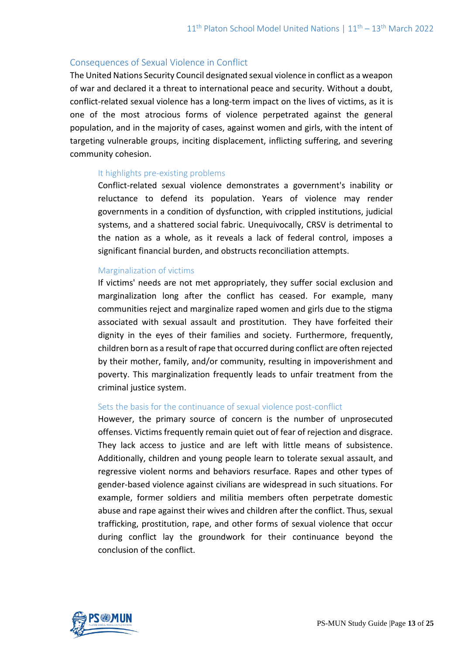## Consequences of Sexual Violence in Conflict

The United Nations Security Council designated sexual violence in conflict as a weapon of war and declared it a threat to international peace and security. Without a doubt, conflict-related sexual violence has a long-term impact on the lives of victims, as it is one of the most atrocious forms of violence perpetrated against the general population, and in the majority of cases, against women and girls, with the intent of targeting vulnerable groups, inciting displacement, inflicting suffering, and severing community cohesion.

## It highlights pre-existing problems

Conflict-related sexual violence demonstrates a government's inability or reluctance to defend its population. Years of violence may render governments in a condition of dysfunction, with crippled institutions, judicial systems, and a shattered social fabric. Unequivocally, CRSV is detrimental to the nation as a whole, as it reveals a lack of federal control, imposes a significant financial burden, and obstructs reconciliation attempts.

## Marginalization of victims

If victims' needs are not met appropriately, they suffer social exclusion and marginalization long after the conflict has ceased. For example, many communities reject and marginalize raped women and girls due to the stigma associated with sexual assault and prostitution. They have forfeited their dignity in the eyes of their families and society. Furthermore, frequently, children born as a result of rape that occurred during conflict are often rejected by their mother, family, and/or community, resulting in impoverishment and poverty. This marginalization frequently leads to unfair treatment from the criminal justice system.

## Sets the basis for the continuance of sexual violence post-conflict

However, the primary source of concern is the number of unprosecuted offenses. Victims frequently remain quiet out of fear of rejection and disgrace. They lack access to justice and are left with little means of subsistence. Additionally, children and young people learn to tolerate sexual assault, and regressive violent norms and behaviors resurface. Rapes and other types of gender-based violence against civilians are widespread in such situations. For example, former soldiers and militia members often perpetrate domestic abuse and rape against their wives and children after the conflict. Thus, sexual trafficking, prostitution, rape, and other forms of sexual violence that occur during conflict lay the groundwork for their continuance beyond the conclusion of the conflict.

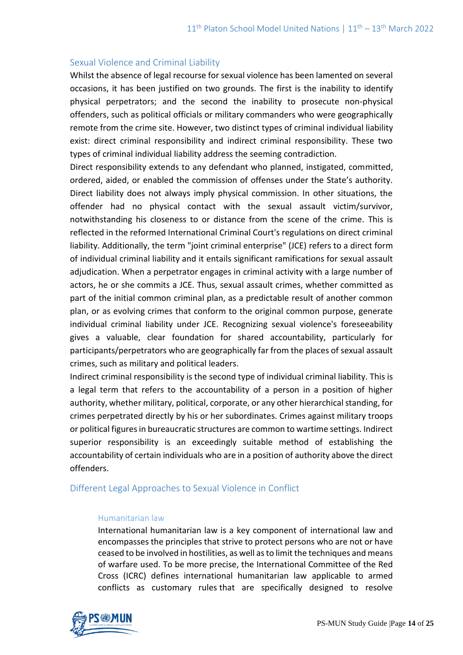## Sexual Violence and Criminal Liability

Whilst the absence of legal recourse for sexual violence has been lamented on several occasions, it has been justified on two grounds. The first is the inability to identify physical perpetrators; and the second the inability to prosecute non-physical offenders, such as political officials or military commanders who were geographically remote from the crime site. However, two distinct types of criminal individual liability exist: direct criminal responsibility and indirect criminal responsibility. These two types of criminal individual liability address the seeming contradiction.

Direct responsibility extends to any defendant who planned, instigated, committed, ordered, aided, or enabled the commission of offenses under the State's authority. Direct liability does not always imply physical commission. In other situations, the offender had no physical contact with the sexual assault victim/survivor, notwithstanding his closeness to or distance from the scene of the crime. This is reflected in the reformed International Criminal Court's regulations on direct criminal liability. Additionally, the term "joint criminal enterprise" (JCE) refers to a direct form of individual criminal liability and it entails significant ramifications for sexual assault adjudication. When a perpetrator engages in criminal activity with a large number of actors, he or she commits a JCE. Thus, sexual assault crimes, whether committed as part of the initial common criminal plan, as a predictable result of another common plan, or as evolving crimes that conform to the original common purpose, generate individual criminal liability under JCE. Recognizing sexual violence's foreseeability gives a valuable, clear foundation for shared accountability, particularly for participants/perpetrators who are geographically far from the places of sexual assault crimes, such as military and political leaders.

Indirect criminal responsibility is the second type of individual criminal liability. This is a legal term that refers to the accountability of a person in a position of higher authority, whether military, political, corporate, or any other hierarchical standing, for crimes perpetrated directly by his or her subordinates. Crimes against military troops or political figures in bureaucratic structures are common to wartime settings. Indirect superior responsibility is an exceedingly suitable method of establishing the accountability of certain individuals who are in a position of authority above the direct offenders.

## Different Legal Approaches to Sexual Violence in Conflict

#### Humanitarian law

International humanitarian law is a key component of international law and encompasses the principles that strive to protect persons who are not or have ceased to be involved in hostilities, as well as to limit the techniques and means of warfare used. To be more precise, the International Committee of the Red Cross (ICRC) defines international humanitarian law applicable to armed conflicts as customary rules that are specifically designed to resolve

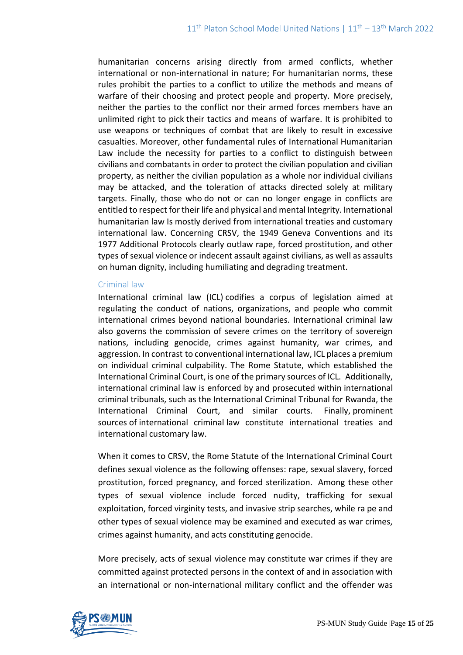humanitarian concerns arising directly from armed conflicts, whether international or non-international in nature; For humanitarian norms, these rules prohibit the parties to a conflict to utilize the methods and means of warfare of their choosing and protect people and property. More precisely, neither the parties to the conflict nor their armed forces members have an unlimited right to pick their tactics and means of warfare. It is prohibited to use weapons or techniques of combat that are likely to result in excessive casualties. Moreover, other fundamental rules of International Humanitarian Law include the necessity for parties to a conflict to distinguish between civilians and combatants in order to protect the civilian population and civilian property, as neither the civilian population as a whole nor individual civilians may be attacked, and the toleration of attacks directed solely at military targets. Finally, those who do not or can no longer engage in conflicts are entitled to respect for their life and physical and mental Integrity. International humanitarian law Is mostly derived from international treaties and customary international law. Concerning CRSV, the 1949 Geneva Conventions and its 1977 Additional Protocols clearly outlaw rape, forced prostitution, and other types of sexual violence or indecent assault against civilians, as well as assaults on human dignity, including humiliating and degrading treatment.

#### Criminal law

International criminal law (ICL) codifies a corpus of legislation aimed at regulating the conduct of nations, organizations, and people who commit international crimes beyond national boundaries. International criminal law also governs the commission of severe crimes on the territory of sovereign nations, including genocide, crimes against humanity, war crimes, and aggression. In contrast to conventional international law, ICL places a premium on individual criminal culpability. The Rome Statute, which established the International Criminal Court, is one of the primary sources of ICL. Additionally, international criminal law is enforced by and prosecuted within international criminal tribunals, such as the International Criminal Tribunal for Rwanda, the International Criminal Court, and similar courts. Finally, prominent sources of international criminal law constitute international treaties and international customary law.

When it comes to CRSV, the Rome Statute of the International Criminal Court defines sexual violence as the following offenses: rape, sexual slavery, forced prostitution, forced pregnancy, and forced sterilization. Among these other types of sexual violence include forced nudity, trafficking for sexual exploitation, forced virginity tests, and invasive strip searches, while ra pe and other types of sexual violence may be examined and executed as war crimes, crimes against humanity, and acts constituting genocide.

More precisely, acts of sexual violence may constitute war crimes if they are committed against protected persons in the context of and in association with an international or non-international military conflict and the offender was

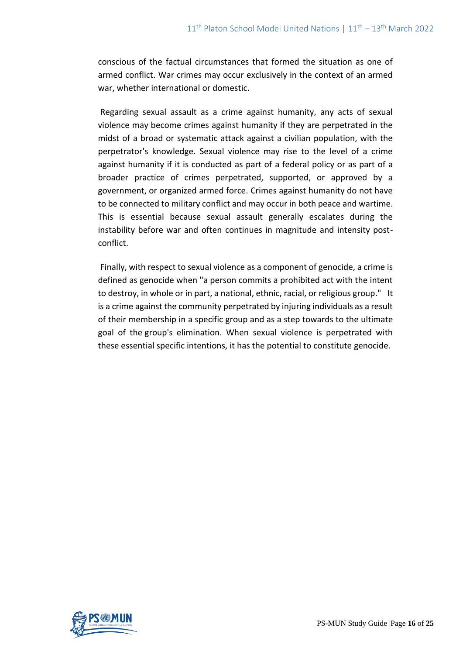conscious of the factual circumstances that formed the situation as one of armed conflict. War crimes may occur exclusively in the context of an armed war, whether international or domestic.

Regarding sexual assault as a crime against humanity, any acts of sexual violence may become crimes against humanity if they are perpetrated in the midst of a broad or systematic attack against a civilian population, with the perpetrator's knowledge. Sexual violence may rise to the level of a crime against humanity if it is conducted as part of a federal policy or as part of a broader practice of crimes perpetrated, supported, or approved by a government, or organized armed force. Crimes against humanity do not have to be connected to military conflict and may occur in both peace and wartime. This is essential because sexual assault generally escalates during the instability before war and often continues in magnitude and intensity postconflict.

Finally, with respect to sexual violence as a component of genocide, a crime is defined as genocide when "a person commits a prohibited act with the intent to destroy, in whole or in part, a national, ethnic, racial, or religious group." It is a crime against the community perpetrated by injuring individuals as a result of their membership in a specific group and as a step towards to the ultimate goal of the group's elimination. When sexual violence is perpetrated with these essential specific intentions, it has the potential to constitute genocide.

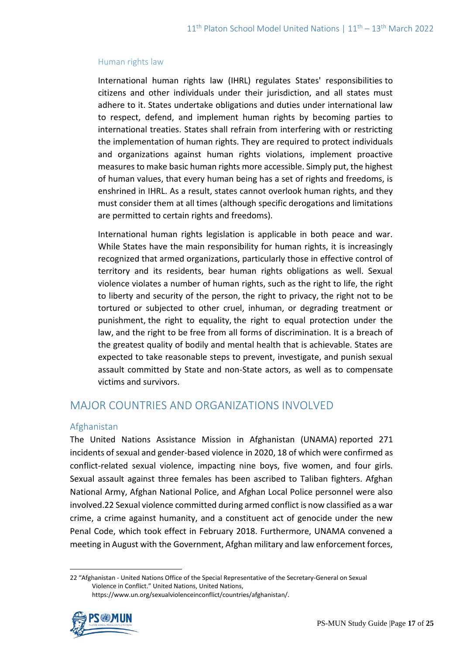## Human rights law

International human rights law (IHRL) regulates States' responsibilities to citizens and other individuals under their jurisdiction, and all states must adhere to it. States undertake obligations and duties under international law to respect, defend, and implement human rights by becoming parties to international treaties. States shall refrain from interfering with or restricting the implementation of human rights. They are required to protect individuals and organizations against human rights violations, implement proactive measures to make basic human rights more accessible. Simply put, the highest of human values, that every human being has a set of rights and freedoms, is enshrined in IHRL. As a result, states cannot overlook human rights, and they must consider them at all times (although specific derogations and limitations are permitted to certain rights and freedoms).

International human rights legislation is applicable in both peace and war. While States have the main responsibility for human rights, it is increasingly recognized that armed organizations, particularly those in effective control of territory and its residents, bear human rights obligations as well. Sexual violence violates a number of human rights, such as the right to life, the right to liberty and security of the person, the right to privacy, the right not to be tortured or subjected to other cruel, inhuman, or degrading treatment or punishment, the right to equality, the right to equal protection under the law, and the right to be free from all forms of discrimination. It is a breach of the greatest quality of bodily and mental health that is achievable. States are expected to take reasonable steps to prevent, investigate, and punish sexual assault committed by State and non-State actors, as well as to compensate victims and survivors.

# MAJOR COUNTRIES AND ORGANIZATIONS INVOLVED

## Afghanistan

The United Nations Assistance Mission in Afghanistan (UNAMA) reported 271 incidents of sexual and gender-based violence in 2020, 18 of which were confirmed as conflict-related sexual violence, impacting nine boys, five women, and four girls. Sexual assault against three females has been ascribed to Taliban fighters. Afghan National Army, Afghan National Police, and Afghan Local Police personnel were also involved.22 Sexual violence committed during armed conflict is now classified as a war crime, a crime against humanity, and a constituent act of genocide under the new Penal Code, which took effect in February 2018. Furthermore, UNAMA convened a meeting in August with the Government, Afghan military and law enforcement forces,

<sup>22</sup> "Afghanistan - United Nations Office of the Special Representative of the Secretary-General on Sexual Violence in Conflict." United Nations, United Nations, https://www.un.org/sexualviolenceinconflict/countries/afghanistan/.

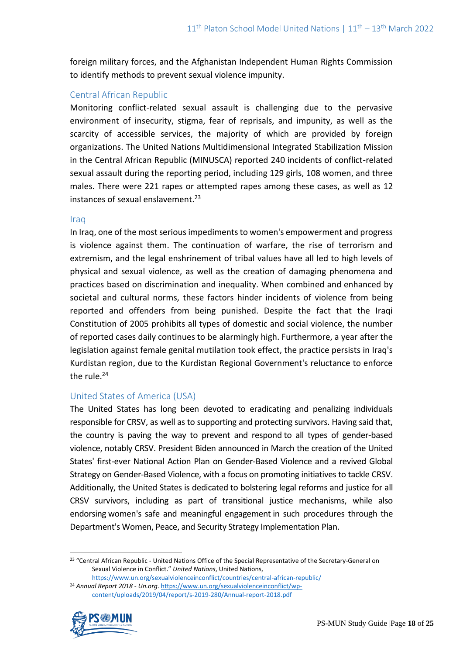foreign military forces, and the Afghanistan Independent Human Rights Commission to identify methods to prevent sexual violence impunity.

# Central African Republic

Monitoring conflict-related sexual assault is challenging due to the pervasive environment of insecurity, stigma, fear of reprisals, and impunity, as well as the scarcity of accessible services, the majority of which are provided by foreign organizations. The United Nations Multidimensional Integrated Stabilization Mission in the Central African Republic (MINUSCA) reported 240 incidents of conflict-related sexual assault during the reporting period, including 129 girls, 108 women, and three males. There were 221 rapes or attempted rapes among these cases, as well as 12 instances of sexual enslavement.<sup>23</sup>

## Iraq

In Iraq, one of the most serious impediments to women's empowerment and progress is violence against them. The continuation of warfare, the rise of terrorism and extremism, and the legal enshrinement of tribal values have all led to high levels of physical and sexual violence, as well as the creation of damaging phenomena and practices based on discrimination and inequality. When combined and enhanced by societal and cultural norms, these factors hinder incidents of violence from being reported and offenders from being punished. Despite the fact that the Iraqi Constitution of 2005 prohibits all types of domestic and social violence, the number of reported cases daily continues to be alarmingly high. Furthermore, a year after the legislation against female genital mutilation took effect, the practice persists in Iraq's Kurdistan region, due to the Kurdistan Regional Government's reluctance to enforce the rule.<sup>24</sup>

## United States of America (USA)

The United States has long been devoted to eradicating and penalizing individuals responsible for CRSV, as well as to supporting and protecting survivors. Having said that, the country is paving the way to prevent and respond to all types of gender-based violence, notably CRSV. President Biden announced in March the creation of the United States' first-ever National Action Plan on Gender-Based Violence and a revived Global Strategy on Gender-Based Violence, with a focus on promoting initiatives to tackle CRSV. Additionally, the United States is dedicated to bolstering legal reforms and justice for all CRSV survivors, including as part of transitional justice mechanisms, while also endorsing women's safe and meaningful engagement in such procedures through the Department's Women, Peace, and Security Strategy Implementation Plan.

[content/uploads/2019/04/report/s-2019-280/Annual-report-2018.pdf](https://www.un.org/sexualviolenceinconflict/wp-content/uploads/2019/04/report/s-2019-280/Annual-report-2018.pdf)



<sup>&</sup>lt;sup>23</sup> "Central African Republic - United Nations Office of the Special Representative of the Secretary-General on Sexual Violence in Conflict." *United Nations*, United Nations,

<https://www.un.org/sexualviolenceinconflict/countries/central-african-republic/> <sup>24</sup> *Annual Report 2018 - Un.org*. [https://www.un.org/sexualviolenceinconflict/wp-](https://www.un.org/sexualviolenceinconflict/wp-content/uploads/2019/04/report/s-2019-280/Annual-report-2018.pdf)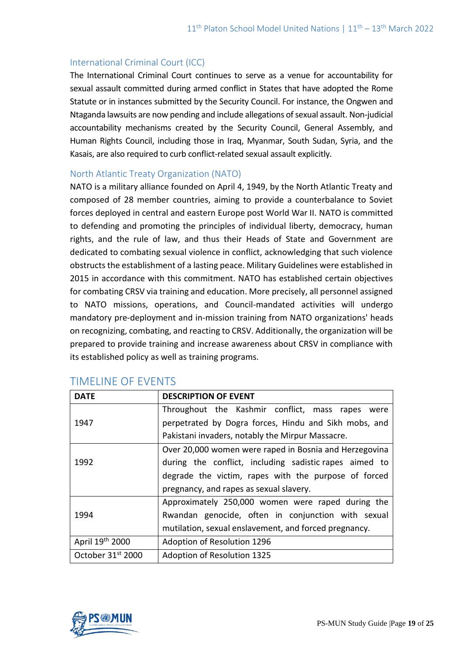# International Criminal Court (ICC)

The International Criminal Court continues to serve as a venue for accountability for sexual assault committed during armed conflict in States that have adopted the Rome Statute or in instances submitted by the Security Council. For instance, the Ongwen and Ntaganda lawsuits are now pending and include allegations of sexual assault. Non-judicial accountability mechanisms created by the Security Council, General Assembly, and Human Rights Council, including those in Iraq, Myanmar, South Sudan, Syria, and the Kasais, are also required to curb conflict-related sexual assault explicitly.

## North Atlantic Treaty Organization (NATO)

NATO is a military alliance founded on April 4, 1949, by the North Atlantic Treaty and composed of 28 member countries, aiming to provide a counterbalance to Soviet forces deployed in central and eastern Europe post World War II. NATO is committed to defending and promoting the principles of individual liberty, democracy, human rights, and the rule of law, and thus their Heads of State and Government are dedicated to combating sexual violence in conflict, acknowledging that such violence obstructs the establishment of a lasting peace. Military Guidelines were established in 2015 in accordance with this commitment. NATO has established certain objectives for combating CRSV via training and education. More precisely, all personnel assigned to NATO missions, operations, and Council-mandated activities will undergo mandatory pre-deployment and in-mission training from NATO organizations' heads on recognizing, combating, and reacting to CRSV. Additionally, the organization will be prepared to provide training and increase awareness about CRSV in compliance with its established policy as well as training programs.

| <b>DATE</b>                   | <b>DESCRIPTION OF EVENT</b>                            |
|-------------------------------|--------------------------------------------------------|
|                               | Throughout the Kashmir conflict, mass rapes were       |
| 1947                          | perpetrated by Dogra forces, Hindu and Sikh mobs, and  |
|                               | Pakistani invaders, notably the Mirpur Massacre.       |
| 1992                          | Over 20,000 women were raped in Bosnia and Herzegovina |
|                               | during the conflict, including sadistic rapes aimed to |
|                               | degrade the victim, rapes with the purpose of forced   |
|                               | pregnancy, and rapes as sexual slavery.                |
|                               | Approximately 250,000 women were raped during the      |
| 1994                          | Rwandan genocide, often in conjunction with sexual     |
|                               | mutilation, sexual enslavement, and forced pregnancy.  |
| April 19th 2000               | Adoption of Resolution 1296                            |
| October 31 <sup>st</sup> 2000 | <b>Adoption of Resolution 1325</b>                     |

# TIMELINE OF EVENTS

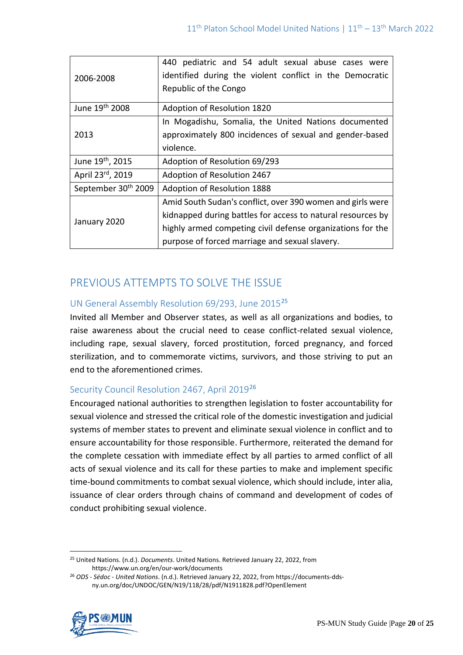| 2006-2008                       | 440 pediatric and 54 adult sexual abuse cases were<br>identified during the violent conflict in the Democratic<br>Republic of the Congo |
|---------------------------------|-----------------------------------------------------------------------------------------------------------------------------------------|
| June 19th 2008                  | Adoption of Resolution 1820                                                                                                             |
| 2013                            | In Mogadishu, Somalia, the United Nations documented                                                                                    |
|                                 | approximately 800 incidences of sexual and gender-based                                                                                 |
|                                 | violence.                                                                                                                               |
| June 19 <sup>th</sup> , 2015    | Adoption of Resolution 69/293                                                                                                           |
| April 23rd, 2019                | Adoption of Resolution 2467                                                                                                             |
| September 30 <sup>th</sup> 2009 | Adoption of Resolution 1888                                                                                                             |
| January 2020                    | Amid South Sudan's conflict, over 390 women and girls were                                                                              |
|                                 | kidnapped during battles for access to natural resources by                                                                             |
|                                 | highly armed competing civil defense organizations for the                                                                              |
|                                 | purpose of forced marriage and sexual slavery.                                                                                          |

# PREVIOUS ATTEMPTS TO SOLVE THE ISSUE

# UN General Assembly Resolution 69/293, June 2015<sup>25</sup>

Invited all Member and Observer states, as well as all organizations and bodies, to raise awareness about the crucial need to cease conflict-related sexual violence, including rape, sexual slavery, forced prostitution, forced pregnancy, and forced sterilization, and to commemorate victims, survivors, and those striving to put an end to the aforementioned crimes.

# Security Council Resolution 2467, April 2019<sup>26</sup>

Encouraged national authorities to strengthen legislation to foster accountability for sexual violence and stressed the critical role of the domestic investigation and judicial systems of member states to prevent and eliminate sexual violence in conflict and to ensure accountability for those responsible. Furthermore, reiterated the demand for the complete cessation with immediate effect by all parties to armed conflict of all acts of sexual violence and its call for these parties to make and implement specific time-bound commitments to combat sexual violence, which should include, inter alia, issuance of clear orders through chains of command and development of codes of conduct prohibiting sexual violence.

<sup>26</sup> *ODS - Sédoc - United Nations*. (n.d.). Retrieved January 22, 2022, from https://documents-ddsny.un.org/doc/UNDOC/GEN/N19/118/28/pdf/N1911828.pdf?OpenElement



<sup>25</sup> United Nations. (n.d.). *Documents*. United Nations. Retrieved January 22, 2022, from https://www.un.org/en/our-work/documents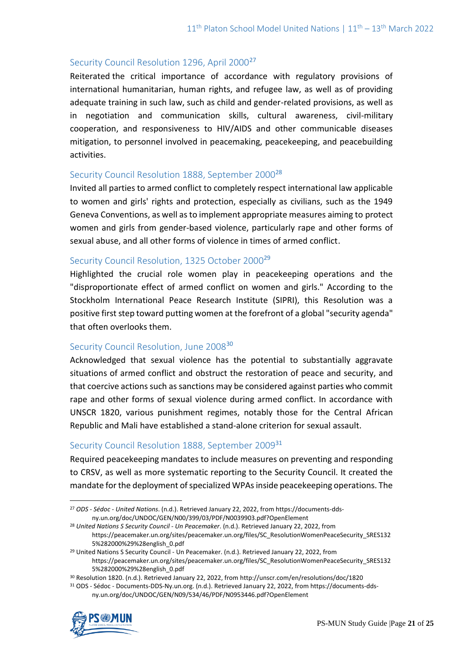## Security Council Resolution 1296, April 2000<sup>27</sup>

Reiterated the critical importance of accordance with regulatory provisions of international humanitarian, human rights, and refugee law, as well as of providing adequate training in such law, such as child and gender-related provisions, as well as in negotiation and communication skills, cultural awareness, civil-military cooperation, and responsiveness to HIV/AIDS and other communicable diseases mitigation, to personnel involved in peacemaking, peacekeeping, and peacebuilding activities.

## Security Council Resolution 1888, September 2000<sup>28</sup>

Invited all parties to armed conflict to completely respect international law applicable to women and girls' rights and protection, especially as civilians, such as the 1949 Geneva Conventions, as well as to implement appropriate measures aiming to protect women and girls from gender-based violence, particularly rape and other forms of sexual abuse, and all other forms of violence in times of armed conflict.

## Security Council Resolution, 1325 October 2000<sup>29</sup>

Highlighted the crucial role women play in peacekeeping operations and the "disproportionate effect of armed conflict on women and girls." According to the Stockholm International Peace Research Institute (SIPRI), this Resolution was a positive first step toward putting women at the forefront of a global "security agenda" that often overlooks them.

## Security Council Resolution, June 2008<sup>30</sup>

Acknowledged that sexual violence has the potential to substantially aggravate situations of armed conflict and obstruct the restoration of peace and security, and that coercive actions such as sanctions may be considered against parties who commit rape and other forms of sexual violence during armed conflict. In accordance with UNSCR 1820, various punishment regimes, notably those for the Central African Republic and Mali have established a stand-alone criterion for sexual assault.

# Security Council Resolution 1888, September 2009<sup>31</sup>

Required peacekeeping mandates to include measures on preventing and responding to CRSV, as well as more systematic reporting to the Security Council. It created the mandate for the deployment of specialized WPAs inside peacekeeping operations. The

<sup>31</sup> ODS - Sédoc - Documents-DDS-Ny.un.org. (n.d.). Retrieved January 22, 2022, from https://documents-ddsny.un.org/doc/UNDOC/GEN/N09/534/46/PDF/N0953446.pdf?OpenElement



<sup>27</sup> *ODS - Sédoc - United Nations*. (n.d.). Retrieved January 22, 2022, from https://documents-ddsny.un.org/doc/UNDOC/GEN/N00/399/03/PDF/N0039903.pdf?OpenElement

<sup>28</sup> *United Nations S Security Council - Un Peacemaker*. (n.d.). Retrieved January 22, 2022, from https://peacemaker.un.org/sites/peacemaker.un.org/files/SC\_ResolutionWomenPeaceSecurity\_SRES132 5%282000%29%28english\_0.pdf

<sup>&</sup>lt;sup>29</sup> United Nations S Security Council - Un Peacemaker. (n.d.). Retrieved January 22, 2022, from https://peacemaker.un.org/sites/peacemaker.un.org/files/SC\_ResolutionWomenPeaceSecurity\_SRES132 5%282000%29%28english\_0.pdf

<sup>30</sup> Resolution 1820. (n.d.). Retrieved January 22, 2022, from http://unscr.com/en/resolutions/doc/1820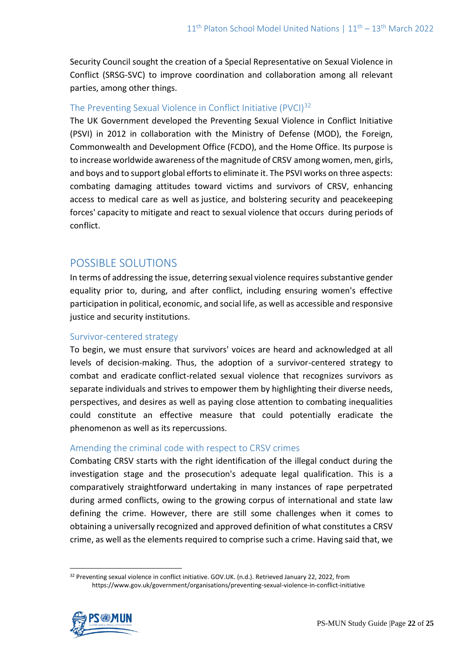Security Council sought the creation of a Special Representative on Sexual Violence in Conflict (SRSG-SVC) to improve coordination and collaboration among all relevant parties, among other things.

## The Preventing Sexual Violence in Conflict Initiative (PVCI)<sup>32</sup>

The UK Government developed the Preventing Sexual Violence in Conflict Initiative (PSVI) in 2012 in collaboration with the Ministry of Defense (MOD), the Foreign, Commonwealth and Development Office (FCDO), and the Home Office. Its purpose is to increase worldwide awareness of the magnitude of CRSV among women, men, girls, and boys and to support global efforts to eliminate it. The PSVI works on three aspects: combating damaging attitudes toward victims and survivors of CRSV, enhancing access to medical care as well as justice, and bolstering security and peacekeeping forces' capacity to mitigate and react to sexual violence that occurs during periods of conflict.

# POSSIBLE SOLUTIONS

In terms of addressing the issue, deterring sexual violence requires substantive gender equality prior to, during, and after conflict, including ensuring women's effective participation in political, economic, and social life, as well as accessible and responsive justice and security institutions.

## Survivor-centered strategy

To begin, we must ensure that survivors' voices are heard and acknowledged at all levels of decision-making. Thus, the adoption of a survivor-centered strategy to combat and eradicate conflict-related sexual violence that recognizes survivors as separate individuals and strives to empower them by highlighting their diverse needs, perspectives, and desires as well as paying close attention to combating inequalities could constitute an effective measure that could potentially eradicate the phenomenon as well as its repercussions.

## Amending the criminal code with respect to CRSV crimes

Combating CRSV starts with the right identification of the illegal conduct during the investigation stage and the prosecution's adequate legal qualification. This is a comparatively straightforward undertaking in many instances of rape perpetrated during armed conflicts, owing to the growing corpus of international and state law defining the crime. However, there are still some challenges when it comes to obtaining a universally recognized and approved definition of what constitutes a CRSV crime, as well as the elements required to comprise such a crime. Having said that, we

<sup>32</sup> Preventing sexual violence in conflict initiative. GOV.UK. (n.d.). Retrieved January 22, 2022, from https://www.gov.uk/government/organisations/preventing-sexual-violence-in-conflict-initiative

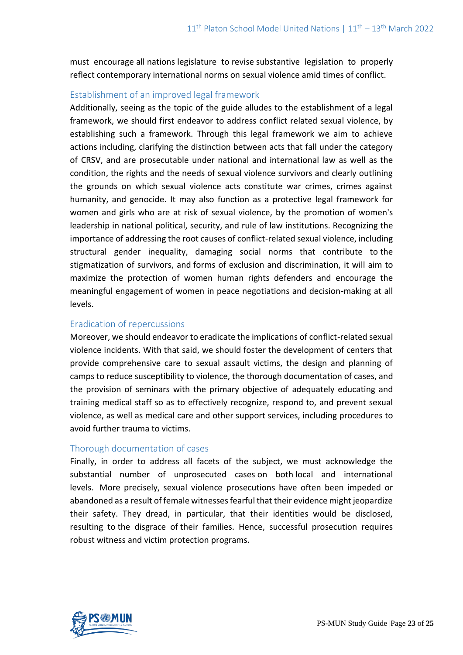must encourage all nations legislature to revise substantive legislation to properly reflect contemporary international norms on sexual violence amid times of conflict.

# Establishment of an improved legal framework

Additionally, seeing as the topic of the guide alludes to the establishment of a legal framework, we should first endeavor to address conflict related sexual violence, by establishing such a framework. Through this legal framework we aim to achieve actions including, clarifying the distinction between acts that fall under the category of CRSV, and are prosecutable under national and international law as well as the condition, the rights and the needs of sexual violence survivors and clearly outlining the grounds on which sexual violence acts constitute war crimes, crimes against humanity, and genocide. It may also function as a protective legal framework for women and girls who are at risk of sexual violence, by the promotion of women's leadership in national political, security, and rule of law institutions. Recognizing the importance of addressing the root causes of conflict-related sexual violence, including structural gender inequality, damaging social norms that contribute to the stigmatization of survivors, and forms of exclusion and discrimination, it will aim to maximize the protection of women human rights defenders and encourage the meaningful engagement of women in peace negotiations and decision-making at all levels.

# Eradication of repercussions

Moreover, we should endeavor to eradicate the implications of conflict-related sexual violence incidents. With that said, we should foster the development of centers that provide comprehensive care to sexual assault victims, the design and planning of camps to reduce susceptibility to violence, the thorough documentation of cases, and the provision of seminars with the primary objective of adequately educating and training medical staff so as to effectively recognize, respond to, and prevent sexual violence, as well as medical care and other support services, including procedures to avoid further trauma to victims.

## Thorough documentation of cases

Finally, in order to address all facets of the subject, we must acknowledge the substantial number of unprosecuted cases on both local and international levels. More precisely, sexual violence prosecutions have often been impeded or abandoned as a result of female witnesses fearful that their evidence might jeopardize their safety. They dread, in particular, that their identities would be disclosed, resulting to the disgrace of their families. Hence, successful prosecution requires robust witness and victim protection programs.

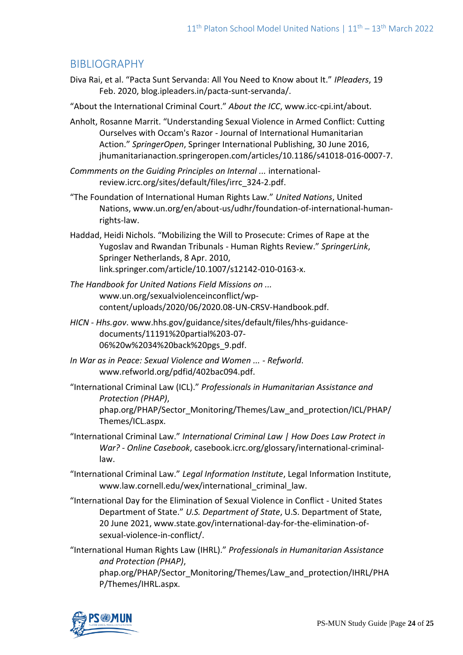# BIBLIOGRAPHY

- Diva Rai, et al. "Pacta Sunt Servanda: All You Need to Know about It." *IPleaders*, 19 Feb. 2020, blog.ipleaders.in/pacta-sunt-servanda/.
- "About the International Criminal Court." *About the ICC*, www.icc-cpi.int/about.
- Anholt, Rosanne Marrit. "Understanding Sexual Violence in Armed Conflict: Cutting Ourselves with Occam's Razor - Journal of International Humanitarian Action." *SpringerOpen*, Springer International Publishing, 30 June 2016, jhumanitarianaction.springeropen.com/articles/10.1186/s41018-016-0007-7.
- *Commments on the Guiding Principles on Internal ...* internationalreview.icrc.org/sites/default/files/irrc\_324-2.pdf.
- "The Foundation of International Human Rights Law." *United Nations*, United Nations, www.un.org/en/about-us/udhr/foundation-of-international-humanrights-law.
- Haddad, Heidi Nichols. "Mobilizing the Will to Prosecute: Crimes of Rape at the Yugoslav and Rwandan Tribunals - Human Rights Review." *SpringerLink*, Springer Netherlands, 8 Apr. 2010, link.springer.com/article/10.1007/s12142-010-0163-x.
- *The Handbook for United Nations Field Missions on ...* www.un.org/sexualviolenceinconflict/wpcontent/uploads/2020/06/2020.08-UN-CRSV-Handbook.pdf.
- *HICN - Hhs.gov*. www.hhs.gov/guidance/sites/default/files/hhs-guidancedocuments/11191%20partial%203-07- 06%20w%2034%20back%20pgs\_9.pdf.
- *In War as in Peace: Sexual Violence and Women ... - Refworld*. www.refworld.org/pdfid/402bac094.pdf.
- "International Criminal Law (ICL)." *Professionals in Humanitarian Assistance and Protection (PHAP)*,
	- phap.org/PHAP/Sector\_Monitoring/Themes/Law\_and\_protection/ICL/PHAP/ Themes/ICL.aspx.
- "International Criminal Law." *International Criminal Law | How Does Law Protect in War? - Online Casebook*, casebook.icrc.org/glossary/international-criminallaw.
- "International Criminal Law." *Legal Information Institute*, Legal Information Institute, www.law.cornell.edu/wex/international\_criminal\_law.
- "International Day for the Elimination of Sexual Violence in Conflict United States Department of State." *U.S. Department of State*, U.S. Department of State, 20 June 2021, www.state.gov/international-day-for-the-elimination-ofsexual-violence-in-conflict/.
- "International Human Rights Law (IHRL)." *Professionals in Humanitarian Assistance and Protection (PHAP)*, phap.org/PHAP/Sector\_Monitoring/Themes/Law\_and\_protection/IHRL/PHA P/Themes/IHRL.aspx.